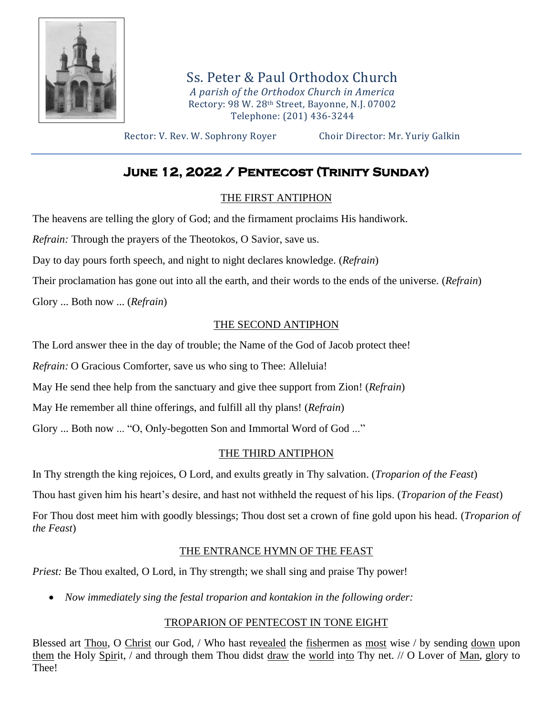

Ss. Peter & Paul Orthodox Church *A parish of the Orthodox Church in America* Rectory: 98 W. 28th Street, Bayonne, N.J. 07002 Telephone: (201) 436-3244

Rector: V. Rev. W. Sophrony Royer Choir Director: Mr. Yuriy Galkin

# **June 12, 2022 / Pentecost (Trinity Sunday)**

# THE FIRST ANTIPHON

The heavens are telling the glory of God; and the firmament proclaims His handiwork.

*Refrain:* Through the prayers of the Theotokos, O Savior, save us.

Day to day pours forth speech, and night to night declares knowledge. (*Refrain*)

Their proclamation has gone out into all the earth, and their words to the ends of the universe. (*Refrain*)

Glory ... Both now ... (*Refrain*)

# THE SECOND ANTIPHON

The Lord answer thee in the day of trouble; the Name of the God of Jacob protect thee!

*Refrain:* O Gracious Comforter, save us who sing to Thee: Alleluia!

May He send thee help from the sanctuary and give thee support from Zion! (*Refrain*)

May He remember all thine offerings, and fulfill all thy plans! (*Refrain*)

Glory ... Both now ... "O, Only-begotten Son and Immortal Word of God ..."

# THE THIRD ANTIPHON

In Thy strength the king rejoices, O Lord, and exults greatly in Thy salvation. (*Troparion of the Feast*)

Thou hast given him his heart's desire, and hast not withheld the request of his lips. (*Troparion of the Feast*)

For Thou dost meet him with goodly blessings; Thou dost set a crown of fine gold upon his head. (*Troparion of the Feast*)

# THE ENTRANCE HYMN OF THE FEAST

*Priest:* Be Thou exalted, O Lord, in Thy strength; we shall sing and praise Thy power!

• *Now immediately sing the festal troparion and kontakion in the following order:*

# TROPARION OF PENTECOST IN TONE EIGHT

Blessed art Thou, O Christ our God, / Who hast revealed the fishermen as most wise / by sending down upon them the Holy Spirit, / and through them Thou didst draw the world into Thy net. // O Lover of Man, glory to Thee!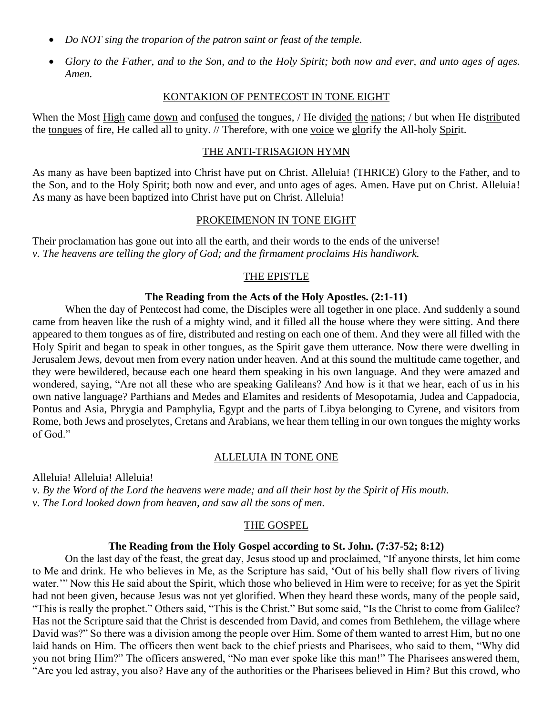- *Do NOT sing the troparion of the patron saint or feast of the temple.*
- *Glory to the Father, and to the Son, and to the Holy Spirit; both now and ever, and unto ages of ages. Amen.*

#### KONTAKION OF PENTECOST IN TONE EIGHT

When the Most High came down and confused the tongues, / He divided the nations; / but when He distributed the tongues of fire, He called all to unity. // Therefore, with one voice we glorify the All-holy Spirit.

### THE ANTI-TRISAGION HYMN

As many as have been baptized into Christ have put on Christ. Alleluia! (THRICE) Glory to the Father, and to the Son, and to the Holy Spirit; both now and ever, and unto ages of ages. Amen. Have put on Christ. Alleluia! As many as have been baptized into Christ have put on Christ. Alleluia!

#### PROKEIMENON IN TONE EIGHT

Their proclamation has gone out into all the earth, and their words to the ends of the universe! *v. The heavens are telling the glory of God; and the firmament proclaims His handiwork.*

#### THE EPISTLE

#### **The Reading from the Acts of the Holy Apostles. (2:1-11)**

When the day of Pentecost had come, the Disciples were all together in one place. And suddenly a sound came from heaven like the rush of a mighty wind, and it filled all the house where they were sitting. And there appeared to them tongues as of fire, distributed and resting on each one of them. And they were all filled with the Holy Spirit and began to speak in other tongues, as the Spirit gave them utterance. Now there were dwelling in Jerusalem Jews, devout men from every nation under heaven. And at this sound the multitude came together, and they were bewildered, because each one heard them speaking in his own language. And they were amazed and wondered, saying, "Are not all these who are speaking Galileans? And how is it that we hear, each of us in his own native language? Parthians and Medes and Elamites and residents of Mesopotamia, Judea and Cappadocia, Pontus and Asia, Phrygia and Pamphylia, Egypt and the parts of Libya belonging to Cyrene, and visitors from Rome, both Jews and proselytes, Cretans and Arabians, we hear them telling in our own tongues the mighty works of God."

#### ALLELUIA IN TONE ONE

Alleluia! Alleluia! Alleluia! *v. By the Word of the Lord the heavens were made; and all their host by the Spirit of His mouth. v. The Lord looked down from heaven, and saw all the sons of men.*

#### THE GOSPEL

#### **The Reading from the Holy Gospel according to St. John. (7:37-52; 8:12)**

On the last day of the feast, the great day, Jesus stood up and proclaimed, "If anyone thirsts, let him come to Me and drink. He who believes in Me, as the Scripture has said, 'Out of his belly shall flow rivers of living water." Now this He said about the Spirit, which those who believed in Him were to receive; for as yet the Spirit had not been given, because Jesus was not yet glorified. When they heard these words, many of the people said, "This is really the prophet." Others said, "This is the Christ." But some said, "Is the Christ to come from Galilee? Has not the Scripture said that the Christ is descended from David, and comes from Bethlehem, the village where David was?" So there was a division among the people over Him. Some of them wanted to arrest Him, but no one laid hands on Him. The officers then went back to the chief priests and Pharisees, who said to them, "Why did you not bring Him?" The officers answered, "No man ever spoke like this man!" The Pharisees answered them, "Are you led astray, you also? Have any of the authorities or the Pharisees believed in Him? But this crowd, who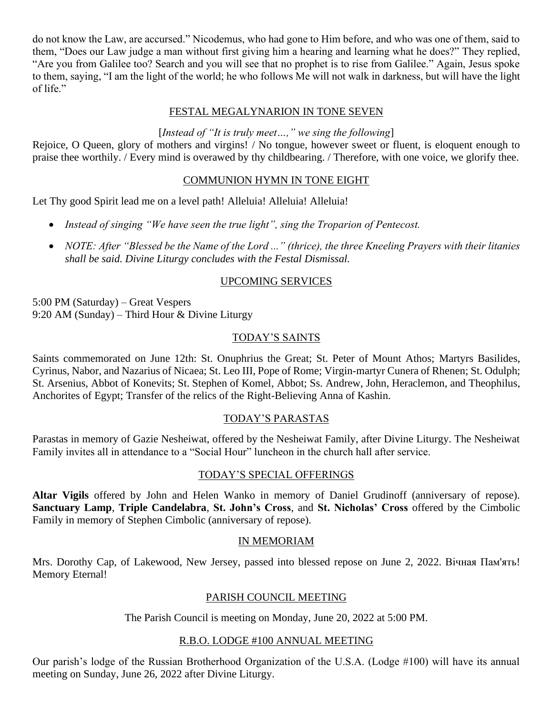do not know the Law, are accursed." Nicodemus, who had gone to Him before, and who was one of them, said to them, "Does our Law judge a man without first giving him a hearing and learning what he does?" They replied, "Are you from Galilee too? Search and you will see that no prophet is to rise from Galilee." Again, Jesus spoke to them, saying, "I am the light of the world; he who follows Me will not walk in darkness, but will have the light of life."

### FESTAL MEGALYNARION IN TONE SEVEN

## [*Instead of "It is truly meet…," we sing the following*]

Rejoice, O Queen, glory of mothers and virgins! / No tongue, however sweet or fluent, is eloquent enough to praise thee worthily. / Every mind is overawed by thy childbearing. / Therefore, with one voice, we glorify thee.

### COMMUNION HYMN IN TONE EIGHT

Let Thy good Spirit lead me on a level path! Alleluia! Alleluia! Alleluia!

- *Instead of singing "We have seen the true light", sing the Troparion of Pentecost.*
- *NOTE: After "Blessed be the Name of the Lord ..." (thrice), the three Kneeling Prayers with their litanies shall be said. Divine Liturgy concludes with the Festal Dismissal.*

# UPCOMING SERVICES

5:00 PM (Saturday) – Great Vespers 9:20 AM (Sunday) – Third Hour & Divine Liturgy

### TODAY'S SAINTS

Saints commemorated on June 12th: St. Onuphrius the Great; St. Peter of Mount Athos; Martyrs Basilides, Cyrinus, Nabor, and Nazarius of Nicaea; St. Leo III, Pope of Rome; Virgin-martyr Cunera of Rhenen; St. Odulph; St. Arsenius, Abbot of Konevits; St. Stephen of Komel, Abbot; Ss. Andrew, John, Heraclemon, and Theophilus, Anchorites of Egypt; Transfer of the relics of the Right-Believing Anna of Kashin.

# TODAY'S PARASTAS

Parastas in memory of Gazie Nesheiwat, offered by the Nesheiwat Family, after Divine Liturgy. The Nesheiwat Family invites all in attendance to a "Social Hour" luncheon in the church hall after service.

### TODAY'S SPECIAL OFFERINGS

**Altar Vigils** offered by John and Helen Wanko in memory of Daniel Grudinoff (anniversary of repose). **Sanctuary Lamp**, **Triple Candelabra**, **St. John's Cross**, and **St. Nicholas' Cross** offered by the Cimbolic Family in memory of Stephen Cimbolic (anniversary of repose).

### IN MEMORIAM

Mrs. Dorothy Cap, of Lakewood, New Jersey, passed into blessed repose on June 2, 2022. Вічная Пам'ять! Memory Eternal!

### PARISH COUNCIL MEETING

The Parish Council is meeting on Monday, June 20, 2022 at 5:00 PM.

### R.B.O. LODGE #100 ANNUAL MEETING

Our parish's lodge of the Russian Brotherhood Organization of the U.S.A. (Lodge #100) will have its annual meeting on Sunday, June 26, 2022 after Divine Liturgy.